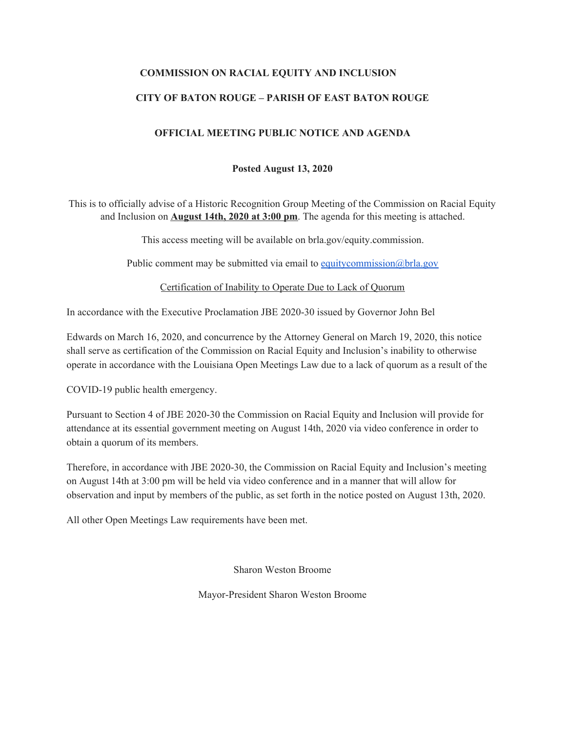#### **COMMISSION ON RACIAL EQUITY AND INCLUSION**

#### **CITY OF BATON ROUGE – PARISH OF EAST BATON ROUGE**

#### **OFFICIAL MEETING PUBLIC NOTICE AND AGENDA**

#### **Posted August 13, 2020**

This is to officially advise of a Historic Recognition Group Meeting of the Commission on Racial Equity and Inclusion on **August 14th, 2020 at 3:00 pm**. The agenda for this meeting is attached.

This access meeting will be available on brla.gov/equity.commission.

Public comment may be submitted via email to [equitycommission@brla.gov](mailto:equitycommission@brla.gov)

Certification of Inability to Operate Due to Lack of Quorum

In accordance with the Executive Proclamation JBE 2020-30 issued by Governor John Bel

Edwards on March 16, 2020, and concurrence by the Attorney General on March 19, 2020, this notice shall serve as certification of the Commission on Racial Equity and Inclusion's inability to otherwise operate in accordance with the Louisiana Open Meetings Law due to a lack of quorum as a result of the

COVID-19 public health emergency.

Pursuant to Section 4 of JBE 2020-30 the Commission on Racial Equity and Inclusion will provide for attendance at its essential government meeting on August 14th, 2020 via video conference in order to obtain a quorum of its members.

Therefore, in accordance with JBE 2020-30, the Commission on Racial Equity and Inclusion's meeting on August 14th at 3:00 pm will be held via video conference and in a manner that will allow for observation and input by members of the public, as set forth in the notice posted on August 13th, 2020.

All other Open Meetings Law requirements have been met.

Sharon Weston Broome

Mayor-President Sharon Weston Broome